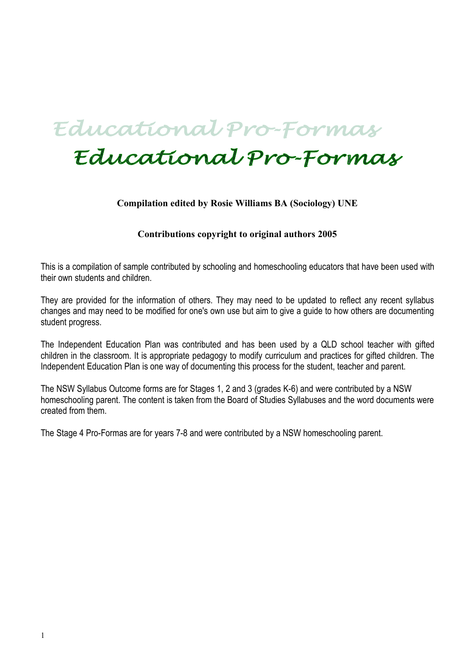## Educational Pro-Formas

# Educational Pro-Formas

#### **Compilation edited by Rosie Williams BA (Sociology) UNE**

#### **Contributions copyright to original authors 2005**

This is a compilation of sample contributed by schooling and homeschooling educators that have been used with their own students and children.

They are provided for the information of others. They may need to be updated to reflect any recent syllabus changes and may need to be modified for one's own use but aim to give a guide to how others are documenting student progress.

The Independent Education Plan was contributed and has been used by a QLD school teacher with gifted children in the classroom. It is appropriate pedagogy to modify curriculum and practices for gifted children. The Independent Education Plan is one way of documenting this process for the student, teacher and parent.

The NSW Syllabus Outcome forms are for Stages 1, 2 and 3 (grades K-6) and were contributed by a NSW homeschooling parent. The content is taken from the Board of Studies Syllabuses and the word documents were created from them.

The Stage 4 Pro-Formas are for years 7-8 and were contributed by a NSW homeschooling parent.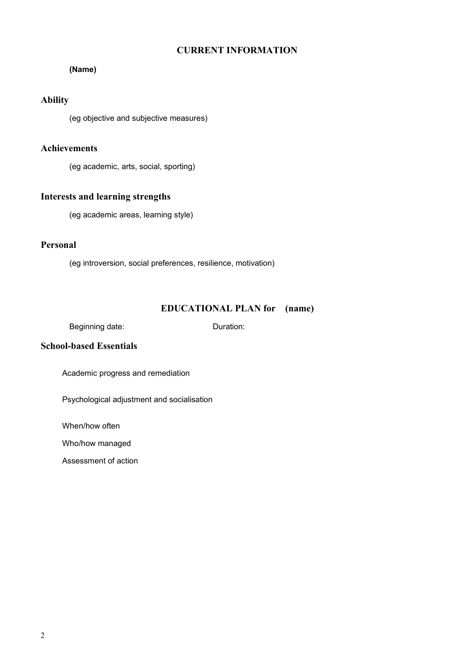#### **CURRENT INFORMATION**

#### **(Name)**

#### **Ability**

(eg objective and subjective measures)

#### **Achievements**

(eg academic, arts, social, sporting)

#### **Interests and learning strengths**

(eg academic areas, learning style)

#### **Personal**

(eg introversion, social preferences, resilience, motivation)

#### **EDUCATIONAL PLAN for (name)**

Beginning date: Duration:

#### **School-based Essentials**

Academic progress and remediation

Psychological adjustment and socialisation

When/how often

Who/how managed

Assessment of action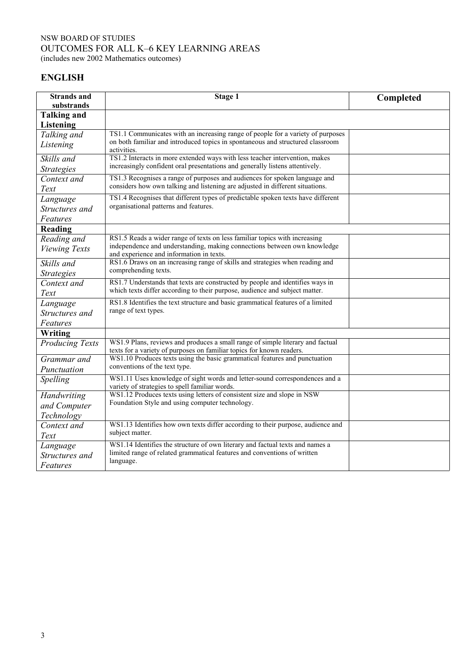#### NSW BOARD OF STUDIES OUTCOMES FOR ALL K–6 KEY LEARNING AREAS (includes new 2002 Mathematics outcomes)

**ENGLISH**

| <b>Strands</b> and<br>substrands | <b>Stage 1</b>                                                                                                                                              | Completed |
|----------------------------------|-------------------------------------------------------------------------------------------------------------------------------------------------------------|-----------|
| <b>Talking and</b>               |                                                                                                                                                             |           |
| <b>Listening</b>                 |                                                                                                                                                             |           |
| Talking and                      | TS1.1 Communicates with an increasing range of people for a variety of purposes                                                                             |           |
| Listening                        | on both familiar and introduced topics in spontaneous and structured classroom<br>activities.                                                               |           |
| Skills and                       | TS1.2 Interacts in more extended ways with less teacher intervention, makes<br>increasingly confident oral presentations and generally listens attentively. |           |
| <b>Strategies</b>                | TS1.3 Recognises a range of purposes and audiences for spoken language and                                                                                  |           |
| Context and<br>Text              | considers how own talking and listening are adjusted in different situations.                                                                               |           |
| Language                         | TS1.4 Recognises that different types of predictable spoken texts have different                                                                            |           |
| Structures and                   | organisational patterns and features.                                                                                                                       |           |
| Features                         |                                                                                                                                                             |           |
| Reading                          |                                                                                                                                                             |           |
| Reading and                      | RS1.5 Reads a wider range of texts on less familiar topics with increasing<br>independence and understanding, making connections between own knowledge      |           |
| <b>Viewing Texts</b>             | and experience and information in texts.                                                                                                                    |           |
| Skills and                       | RS1.6 Draws on an increasing range of skills and strategies when reading and                                                                                |           |
| <b>Strategies</b>                | comprehending texts.                                                                                                                                        |           |
| Context and                      | RS1.7 Understands that texts are constructed by people and identifies ways in                                                                               |           |
| Text                             | which texts differ according to their purpose, audience and subject matter.                                                                                 |           |
| Language                         | RS1.8 Identifies the text structure and basic grammatical features of a limited                                                                             |           |
| Structures and                   | range of text types.                                                                                                                                        |           |
| Features                         |                                                                                                                                                             |           |
| Writing                          |                                                                                                                                                             |           |
| <b>Producing Texts</b>           | WS1.9 Plans, reviews and produces a small range of simple literary and factual<br>texts for a variety of purposes on familiar topics for known readers.     |           |
| Grammar and                      | WS1.10 Produces texts using the basic grammatical features and punctuation                                                                                  |           |
| Punctuation                      | conventions of the text type.                                                                                                                               |           |
| Spelling                         | WS1.11 Uses knowledge of sight words and letter-sound correspondences and a<br>variety of strategies to spell familiar words.                               |           |
| Handwriting                      | WS1.12 Produces texts using letters of consistent size and slope in NSW                                                                                     |           |
| and Computer                     | Foundation Style and using computer technology.                                                                                                             |           |
| Technology                       |                                                                                                                                                             |           |
| Context and                      | WS1.13 Identifies how own texts differ according to their purpose, audience and                                                                             |           |
| Text                             | subject matter.                                                                                                                                             |           |
| Language                         | WS1.14 Identifies the structure of own literary and factual texts and names a                                                                               |           |
| Structures and                   | limited range of related grammatical features and conventions of written<br>language.                                                                       |           |
| Features                         |                                                                                                                                                             |           |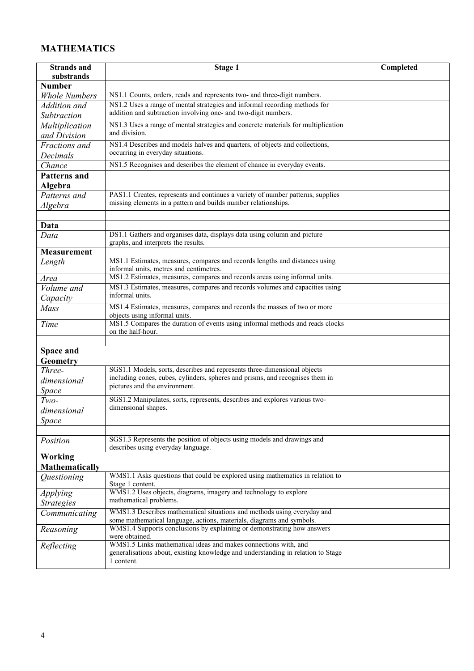## **MATHEMATICS**

| <b>Strands</b> and    | Stage 1                                                                                                                                             | Completed |
|-----------------------|-----------------------------------------------------------------------------------------------------------------------------------------------------|-----------|
| substrands            |                                                                                                                                                     |           |
| <b>Number</b>         |                                                                                                                                                     |           |
| <b>Whole Numbers</b>  | NS1.1 Counts, orders, reads and represents two- and three-digit numbers.                                                                            |           |
| Addition and          | NS1.2 Uses a range of mental strategies and informal recording methods for                                                                          |           |
| Subtraction           | addition and subtraction involving one- and two-digit numbers.                                                                                      |           |
| Multiplication        | NS1.3 Uses a range of mental strategies and concrete materials for multiplication                                                                   |           |
| and Division          | and division.                                                                                                                                       |           |
| Fractions and         | NS1.4 Describes and models halves and quarters, of objects and collections,                                                                         |           |
| Decimals              | occurring in everyday situations.                                                                                                                   |           |
| Chance                | NS1.5 Recognises and describes the element of chance in everyday events.                                                                            |           |
| <b>Patterns and</b>   |                                                                                                                                                     |           |
| Algebra               |                                                                                                                                                     |           |
| Patterns and          | PAS1.1 Creates, represents and continues a variety of number patterns, supplies                                                                     |           |
| Algebra               | missing elements in a pattern and builds number relationships.                                                                                      |           |
|                       |                                                                                                                                                     |           |
| Data                  |                                                                                                                                                     |           |
| Data                  | DS1.1 Gathers and organises data, displays data using column and picture                                                                            |           |
|                       | graphs, and interprets the results.                                                                                                                 |           |
| <b>Measurement</b>    |                                                                                                                                                     |           |
| Length                | MS1.1 Estimates, measures, compares and records lengths and distances using                                                                         |           |
|                       | informal units, metres and centimetres.<br>MS1.2 Estimates, measures, compares and records areas using informal units.                              |           |
| Area                  | MS1.3 Estimates, measures, compares and records volumes and capacities using                                                                        |           |
| Volume and            | informal units.                                                                                                                                     |           |
| Capacity              |                                                                                                                                                     |           |
| Mass                  | MS1.4 Estimates, measures, compares and records the masses of two or more<br>objects using informal units.                                          |           |
| Time                  | MS1.5 Compares the duration of events using informal methods and reads clocks                                                                       |           |
|                       | on the half-hour.                                                                                                                                   |           |
|                       |                                                                                                                                                     |           |
| Space and             |                                                                                                                                                     |           |
| <b>Geometry</b>       |                                                                                                                                                     |           |
| Three-                | SGS1.1 Models, sorts, describes and represents three-dimensional objects                                                                            |           |
| dimensional           | including cones, cubes, cylinders, spheres and prisms, and recognises them in<br>pictures and the environment.                                      |           |
| Space                 |                                                                                                                                                     |           |
| $Two-$                | SGS1.2 Manipulates, sorts, represents, describes and explores various two-                                                                          |           |
| dimensional           | dimensional shapes.                                                                                                                                 |           |
| Space                 |                                                                                                                                                     |           |
|                       |                                                                                                                                                     |           |
| Position              | SGS1.3 Represents the position of objects using models and drawings and                                                                             |           |
|                       | describes using everyday language.                                                                                                                  |           |
| Working               |                                                                                                                                                     |           |
| <b>Mathematically</b> |                                                                                                                                                     |           |
| Questioning           | WMS1.1 Asks questions that could be explored using mathematics in relation to<br>Stage 1 content.                                                   |           |
| Applying              | WMS1.2 Uses objects, diagrams, imagery and technology to explore                                                                                    |           |
| <b>Strategies</b>     | mathematical problems.                                                                                                                              |           |
| Communicating         | WMS1.3 Describes mathematical situations and methods using everyday and                                                                             |           |
|                       | some mathematical language, actions, materials, diagrams and symbols.                                                                               |           |
| Reasoning             | WMS1.4 Supports conclusions by explaining or demonstrating how answers                                                                              |           |
|                       | were obtained.                                                                                                                                      |           |
| Reflecting            | WMS1.5 Links mathematical ideas and makes connections with, and<br>generalisations about, existing knowledge and understanding in relation to Stage |           |
|                       | 1 content.                                                                                                                                          |           |
|                       |                                                                                                                                                     |           |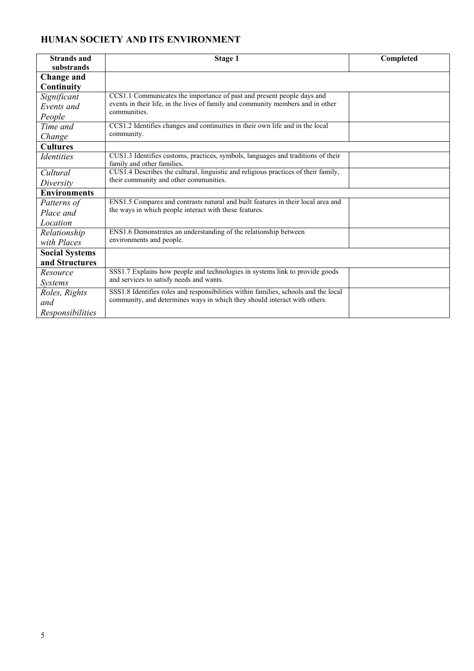## **HUMAN SOCIETY AND ITS ENVIRONMENT**

| <b>Strands and</b>       | <b>Stage 1</b>                                                                                                 | Completed |
|--------------------------|----------------------------------------------------------------------------------------------------------------|-----------|
| substrands               |                                                                                                                |           |
| Change and               |                                                                                                                |           |
| Continuity               |                                                                                                                |           |
| Significant              | CCS1.1 Communicates the importance of past and present people days and                                         |           |
| Events and               | events in their life, in the lives of family and community members and in other<br>communities.                |           |
| People                   |                                                                                                                |           |
| Time and                 | CCS1.2 Identifies changes and continuities in their own life and in the local                                  |           |
| Change                   | community.                                                                                                     |           |
| <b>Cultures</b>          |                                                                                                                |           |
| <i><u>Identities</u></i> | CUS1.3 Identifies customs, practices, symbols, languages and traditions of their<br>family and other families. |           |
| Cultural                 | CUS1.4 Describes the cultural, linguistic and religious practices of their family,                             |           |
| Diversity                | their community and other communities.                                                                         |           |
| <b>Environments</b>      |                                                                                                                |           |
| Patterns of              | ENS1.5 Compares and contrasts natural and built features in their local area and                               |           |
| Place and                | the ways in which people interact with these features.                                                         |           |
| Location                 |                                                                                                                |           |
| Relationship             | ENS1.6 Demonstrates an understanding of the relationship between                                               |           |
| with Places              | environments and people.                                                                                       |           |
| <b>Social Systems</b>    |                                                                                                                |           |
| and Structures           |                                                                                                                |           |
| Resource                 | SSS1.7 Explains how people and technologies in systems link to provide goods                                   |           |
| <i>Systems</i>           | and services to satisfy needs and wants.                                                                       |           |
| Roles, Rights            | SSS1.8 Identifies roles and responsibilities within families, schools and the local                            |           |
| and                      | community, and determines ways in which they should interact with others.                                      |           |
| Responsibilities         |                                                                                                                |           |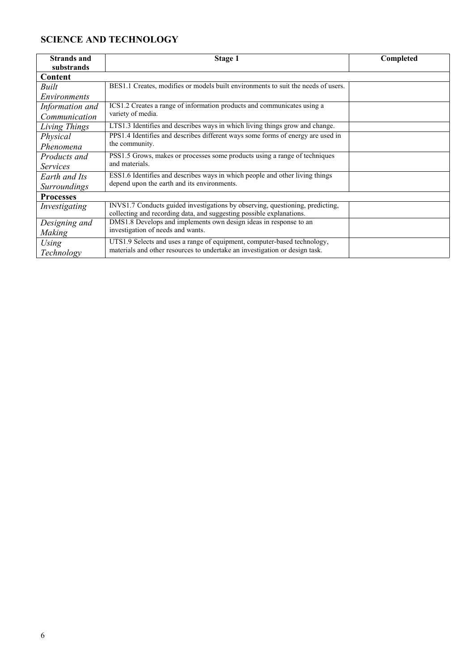## **SCIENCE AND TECHNOLOGY**

| <b>Strands and</b>  | Stage 1                                                                                                                                               | Completed |
|---------------------|-------------------------------------------------------------------------------------------------------------------------------------------------------|-----------|
| substrands          |                                                                                                                                                       |           |
| Content             |                                                                                                                                                       |           |
| Built               | BES1.1 Creates, modifies or models built environments to suit the needs of users.                                                                     |           |
| <i>Environments</i> |                                                                                                                                                       |           |
| Information and     | ICS1.2 Creates a range of information products and communicates using a                                                                               |           |
| Communication       | variety of media.                                                                                                                                     |           |
| Living Things       | LTS1.3 Identifies and describes ways in which living things grow and change.                                                                          |           |
| Physical            | PPS1.4 Identifies and describes different ways some forms of energy are used in                                                                       |           |
| Phenomena           | the community.                                                                                                                                        |           |
| Products and        | PSS1.5 Grows, makes or processes some products using a range of techniques                                                                            |           |
| <i>Services</i>     | and materials.                                                                                                                                        |           |
| Earth and Its       | ESS1.6 Identifies and describes ways in which people and other living things                                                                          |           |
| <b>Surroundings</b> | depend upon the earth and its environments.                                                                                                           |           |
| <b>Processes</b>    |                                                                                                                                                       |           |
| Investigating       | INVS1.7 Conducts guided investigations by observing, questioning, predicting,<br>collecting and recording data, and suggesting possible explanations. |           |
| Designing and       | DMS1.8 Develops and implements own design ideas in response to an                                                                                     |           |
| Making              | investigation of needs and wants.                                                                                                                     |           |
| Using               | UTS1.9 Selects and uses a range of equipment, computer-based technology,                                                                              |           |
| Technology          | materials and other resources to undertake an investigation or design task.                                                                           |           |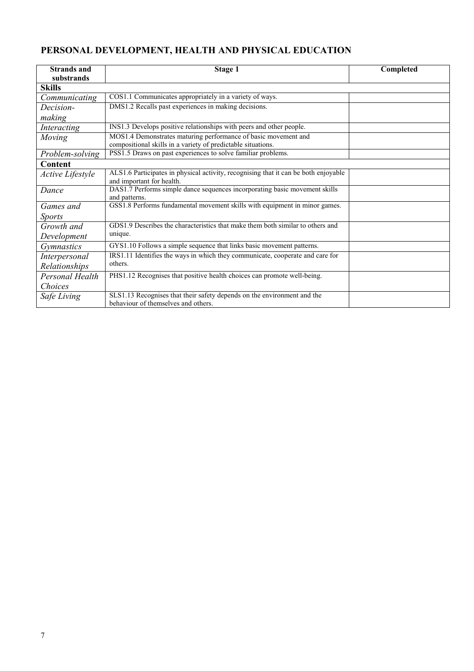## **PERSONAL DEVELOPMENT, HEALTH AND PHYSICAL EDUCATION**

| <b>Strands and</b> | <b>Stage 1</b>                                                                      | Completed |
|--------------------|-------------------------------------------------------------------------------------|-----------|
| substrands         |                                                                                     |           |
| <b>Skills</b>      |                                                                                     |           |
| Communicating      | COS1.1 Communicates appropriately in a variety of ways.                             |           |
| Decision-          | DMS1.2 Recalls past experiences in making decisions.                                |           |
| making             |                                                                                     |           |
| Interacting        | INS1.3 Develops positive relationships with peers and other people.                 |           |
| Moving             | MOS1.4 Demonstrates maturing performance of basic movement and                      |           |
|                    | compositional skills in a variety of predictable situations.                        |           |
| Problem-solving    | PSS1.5 Draws on past experiences to solve familiar problems.                        |           |
| Content            |                                                                                     |           |
| Active Lifestyle   | ALS1.6 Participates in physical activity, recognising that it can be both enjoyable |           |
|                    | and important for health.                                                           |           |
| Dance              | DAS1.7 Performs simple dance sequences incorporating basic movement skills          |           |
|                    | and patterns.                                                                       |           |
| Games and          | GSS1.8 Performs fundamental movement skills with equipment in minor games.          |           |
| <i>Sports</i>      |                                                                                     |           |
| Growth and         | GDS1.9 Describes the characteristics that make them both similar to others and      |           |
| Development        | unique.                                                                             |           |
| <b>Gymnastics</b>  | GYS1.10 Follows a simple sequence that links basic movement patterns.               |           |
| Interpersonal      | IRS1.11 Identifies the ways in which they communicate, cooperate and care for       |           |
| Relationships      | others.                                                                             |           |
| Personal Health    | PHS1.12 Recognises that positive health choices can promote well-being.             |           |
| Choices            |                                                                                     |           |
| Safe Living        | SLS1.13 Recognises that their safety depends on the environment and the             |           |
|                    | behaviour of themselves and others.                                                 |           |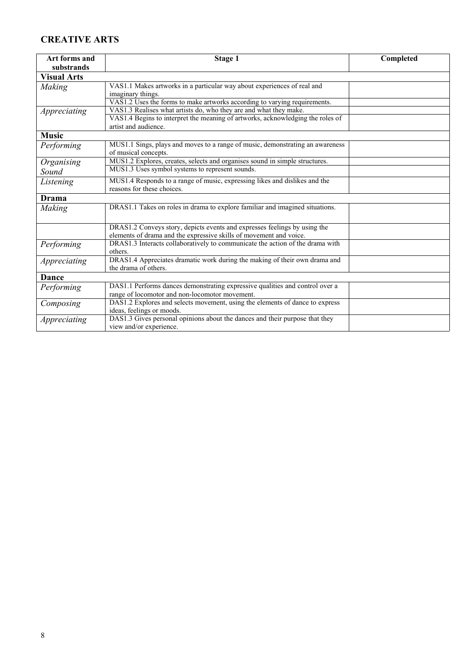## **CREATIVE ARTS**

| Art forms and      | Stage 1                                                                        | Completed |
|--------------------|--------------------------------------------------------------------------------|-----------|
| substrands         |                                                                                |           |
| <b>Visual Arts</b> |                                                                                |           |
| Making             | VAS1.1 Makes artworks in a particular way about experiences of real and        |           |
|                    | imaginary things.                                                              |           |
|                    | VAS1.2 Uses the forms to make artworks according to varying requirements.      |           |
| Appreciating       | VAS1.3 Realises what artists do, who they are and what they make.              |           |
|                    | VAS1.4 Begins to interpret the meaning of artworks, acknowledging the roles of |           |
|                    | artist and audience.                                                           |           |
| <b>Music</b>       |                                                                                |           |
| Performing         | MUS1.1 Sings, plays and moves to a range of music, demonstrating an awareness  |           |
|                    | of musical concepts.                                                           |           |
| Organising         | MUS1.2 Explores, creates, selects and organises sound in simple structures.    |           |
| Sound              | MUS1.3 Uses symbol systems to represent sounds.                                |           |
| Listening          | MUS1.4 Responds to a range of music, expressing likes and dislikes and the     |           |
|                    | reasons for these choices.                                                     |           |
| Drama              |                                                                                |           |
| Making             | DRAS1.1 Takes on roles in drama to explore familiar and imagined situations.   |           |
|                    |                                                                                |           |
|                    | DRAS1.2 Conveys story, depicts events and expresses feelings by using the      |           |
|                    | elements of drama and the expressive skills of movement and voice.             |           |
| Performing         | DRAS1.3 Interacts collaboratively to communicate the action of the drama with  |           |
|                    | others.                                                                        |           |
| Appreciating       | DRAS1.4 Appreciates dramatic work during the making of their own drama and     |           |
|                    | the drama of others.                                                           |           |
| <b>Dance</b>       |                                                                                |           |
| Performing         | DAS1.1 Performs dances demonstrating expressive qualities and control over a   |           |
|                    | range of locomotor and non-locomotor movement.                                 |           |
| Composing          | DAS1.2 Explores and selects movement, using the elements of dance to express   |           |
|                    | ideas, feelings or moods.                                                      |           |
| Appreciating       | DAS1.3 Gives personal opinions about the dances and their purpose that they    |           |
|                    | view and/or experience.                                                        |           |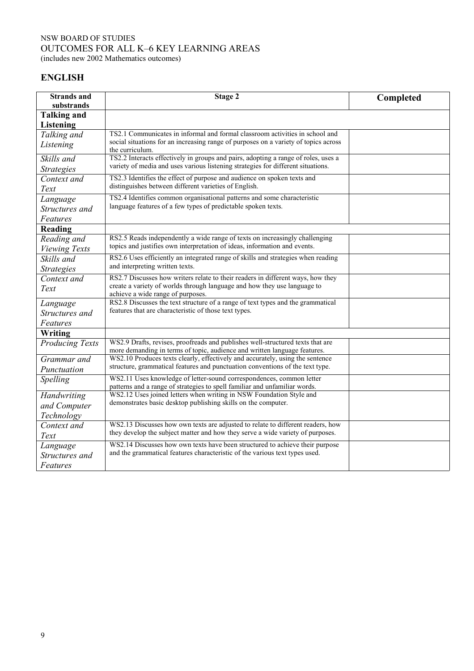#### NSW BOARD OF STUDIES OUTCOMES FOR ALL K–6 KEY LEARNING AREAS (includes new 2002 Mathematics outcomes)

**ENGLISH**

| <b>Strands and</b><br>substrands       | Stage 2                                                                                                                                                                                          | Completed |
|----------------------------------------|--------------------------------------------------------------------------------------------------------------------------------------------------------------------------------------------------|-----------|
| <b>Talking and</b><br><b>Listening</b> |                                                                                                                                                                                                  |           |
| Talking and<br>Listening               | TS2.1 Communicates in informal and formal classroom activities in school and<br>social situations for an increasing range of purposes on a variety of topics across<br>the curriculum.           |           |
| Skills and<br><b>Strategies</b>        | TS2.2 Interacts effectively in groups and pairs, adopting a range of roles, uses a<br>variety of media and uses various listening strategies for different situations.                           |           |
| Context and<br>Text                    | TS2.3 Identifies the effect of purpose and audience on spoken texts and<br>distinguishes between different varieties of English.                                                                 |           |
| Language<br>Structures and<br>Features | TS2.4 Identifies common organisational patterns and some characteristic<br>language features of a few types of predictable spoken texts.                                                         |           |
| Reading                                |                                                                                                                                                                                                  |           |
| Reading and<br><b>Viewing Texts</b>    | RS2.5 Reads independently a wide range of texts on increasingly challenging<br>topics and justifies own interpretation of ideas, information and events.                                         |           |
| Skills and<br><b>Strategies</b>        | RS2.6 Uses efficiently an integrated range of skills and strategies when reading<br>and interpreting written texts.                                                                              |           |
| Context and<br>Text                    | RS2.7 Discusses how writers relate to their readers in different ways, how they<br>create a variety of worlds through language and how they use language to<br>achieve a wide range of purposes. |           |
| Language<br>Structures and<br>Features | RS2.8 Discusses the text structure of a range of text types and the grammatical<br>features that are characteristic of those text types.                                                         |           |
| Writing                                |                                                                                                                                                                                                  |           |
| <b>Producing Texts</b>                 | WS2.9 Drafts, revises, proofreads and publishes well-structured texts that are<br>more demanding in terms of topic, audience and written language features.                                      |           |
| Grammar and<br>Punctuation             | WS2.10 Produces texts clearly, effectively and accurately, using the sentence<br>structure, grammatical features and punctuation conventions of the text type.                                   |           |
| Spelling                               | WS2.11 Uses knowledge of letter-sound correspondences, common letter<br>patterns and a range of strategies to spell familiar and unfamiliar words.                                               |           |
| Handwriting<br>and Computer            | WS2.12 Uses joined letters when writing in NSW Foundation Style and<br>demonstrates basic desktop publishing skills on the computer.                                                             |           |
| Technology<br>Context and<br>Text      | WS2.13 Discusses how own texts are adjusted to relate to different readers, how<br>they develop the subject matter and how they serve a wide variety of purposes.                                |           |
| Language<br>Structures and<br>Features | WS2.14 Discusses how own texts have been structured to achieve their purpose<br>and the grammatical features characteristic of the various text types used.                                      |           |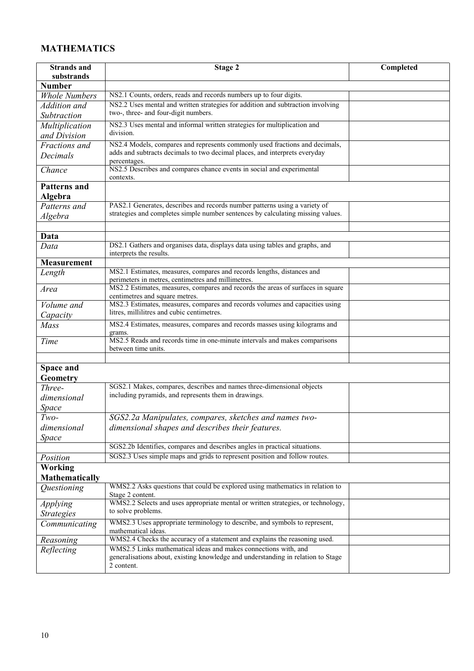## **MATHEMATICS**

| <b>Strands</b> and    | Stage 2                                                                                                           | Completed |
|-----------------------|-------------------------------------------------------------------------------------------------------------------|-----------|
| substrands            |                                                                                                                   |           |
| <b>Number</b>         |                                                                                                                   |           |
| <b>Whole Numbers</b>  | NS2.1 Counts, orders, reads and records numbers up to four digits.                                                |           |
| Addition and          | NS2.2 Uses mental and written strategies for addition and subtraction involving                                   |           |
| Subtraction           | two-, three- and four-digit numbers.                                                                              |           |
| Multiplication        | NS2.3 Uses mental and informal written strategies for multiplication and                                          |           |
| and Division          | division.                                                                                                         |           |
| Fractions and         | NS2.4 Models, compares and represents commonly used fractions and decimals,                                       |           |
| Decimals              | adds and subtracts decimals to two decimal places, and interprets everyday                                        |           |
|                       | percentages.                                                                                                      |           |
| Chance                | NS2.5 Describes and compares chance events in social and experimental                                             |           |
|                       | contexts.                                                                                                         |           |
| <b>Patterns</b> and   |                                                                                                                   |           |
| Algebra               |                                                                                                                   |           |
| Patterns and          | PAS2.1 Generates, describes and records number patterns using a variety of                                        |           |
| Algebra               | strategies and completes simple number sentences by calculating missing values.                                   |           |
|                       |                                                                                                                   |           |
| Data                  |                                                                                                                   |           |
| Data                  | DS2.1 Gathers and organises data, displays data using tables and graphs, and                                      |           |
|                       | interprets the results.                                                                                           |           |
| <b>Measurement</b>    |                                                                                                                   |           |
| Length                | MS2.1 Estimates, measures, compares and records lengths, distances and                                            |           |
|                       | perimeters in metres, centimetres and millimetres.                                                                |           |
| Area                  | MS2.2 Estimates, measures, compares and records the areas of surfaces in square<br>centimetres and square metres. |           |
| Volume and            | MS2.3 Estimates, measures, compares and records volumes and capacities using                                      |           |
|                       | litres, millilitres and cubic centimetres.                                                                        |           |
| Capacity              | MS2.4 Estimates, measures, compares and records masses using kilograms and                                        |           |
| Mass                  | grams.                                                                                                            |           |
| Time                  | MS2.5 Reads and records time in one-minute intervals and makes comparisons                                        |           |
|                       | between time units.                                                                                               |           |
|                       |                                                                                                                   |           |
| Space and             |                                                                                                                   |           |
| Geometry              |                                                                                                                   |           |
| Three-                | SGS2.1 Makes, compares, describes and names three-dimensional objects                                             |           |
| dimensional           | including pyramids, and represents them in drawings.                                                              |           |
| Space                 |                                                                                                                   |           |
| $Two-$                | SGS2.2a Manipulates, compares, sketches and names two-                                                            |           |
| dimensional           | dimensional shapes and describes their features.                                                                  |           |
|                       |                                                                                                                   |           |
| Space                 | SGS2.2b Identifies, compares and describes angles in practical situations.                                        |           |
|                       | SGS2.3 Uses simple maps and grids to represent position and follow routes.                                        |           |
| Position              |                                                                                                                   |           |
| <b>Working</b>        |                                                                                                                   |           |
| <b>Mathematically</b> |                                                                                                                   |           |
| Questioning           | WMS2.2 Asks questions that could be explored using mathematics in relation to                                     |           |
|                       | Stage 2 content.<br>WMS2.2 Selects and uses appropriate mental or written strategies, or technology,              |           |
| <i>Applying</i>       | to solve problems.                                                                                                |           |
| <b>Strategies</b>     |                                                                                                                   |           |
| Communicating         | WMS2.3 Uses appropriate terminology to describe, and symbols to represent,                                        |           |
|                       | mathematical ideas.<br>WMS2.4 Checks the accuracy of a statement and explains the reasoning used.                 |           |
| Reasoning             | WMS2.5 Links mathematical ideas and makes connections with, and                                                   |           |
| Reflecting            | generalisations about, existing knowledge and understanding in relation to Stage                                  |           |
|                       | 2 content.                                                                                                        |           |
|                       |                                                                                                                   |           |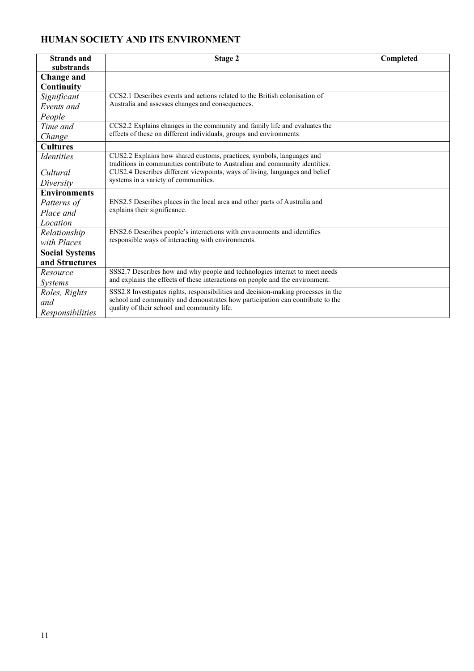## **HUMAN SOCIETY AND ITS ENVIRONMENT**

| <b>Strands and</b>              | Stage 2                                                                           | Completed |
|---------------------------------|-----------------------------------------------------------------------------------|-----------|
| substrands                      |                                                                                   |           |
| Change and                      |                                                                                   |           |
| Continuity                      |                                                                                   |           |
| Significant                     | CCS2.1 Describes events and actions related to the British colonisation of        |           |
| Events and                      | Australia and assesses changes and consequences.                                  |           |
| People                          |                                                                                   |           |
| Time and                        | CCS2.2 Explains changes in the community and family life and evaluates the        |           |
| Change                          | effects of these on different individuals, groups and environments.               |           |
| <b>Cultures</b>                 |                                                                                   |           |
| <i><u><b>Identities</b></u></i> | CUS2.2 Explains how shared customs, practices, symbols, languages and             |           |
|                                 | traditions in communities contribute to Australian and community identities.      |           |
| Cultural                        | CUS2.4 Describes different viewpoints, ways of living, languages and belief       |           |
| Diversity                       | systems in a variety of communities.                                              |           |
| <b>Environments</b>             |                                                                                   |           |
| Patterns of                     | ENS2.5 Describes places in the local area and other parts of Australia and        |           |
| Place and                       | explains their significance.                                                      |           |
| Location                        |                                                                                   |           |
| Relationship                    | ENS2.6 Describes people's interactions with environments and identifies           |           |
| with Places                     | responsible ways of interacting with environments.                                |           |
| <b>Social Systems</b>           |                                                                                   |           |
| and Structures                  |                                                                                   |           |
| Resource                        | SSS2.7 Describes how and why people and technologies interact to meet needs       |           |
| <i>Systems</i>                  | and explains the effects of these interactions on people and the environment.     |           |
| Roles, Rights                   | SSS2.8 Investigates rights, responsibilities and decision-making processes in the |           |
| and                             | school and community and demonstrates how participation can contribute to the     |           |
| Responsibilities                | quality of their school and community life.                                       |           |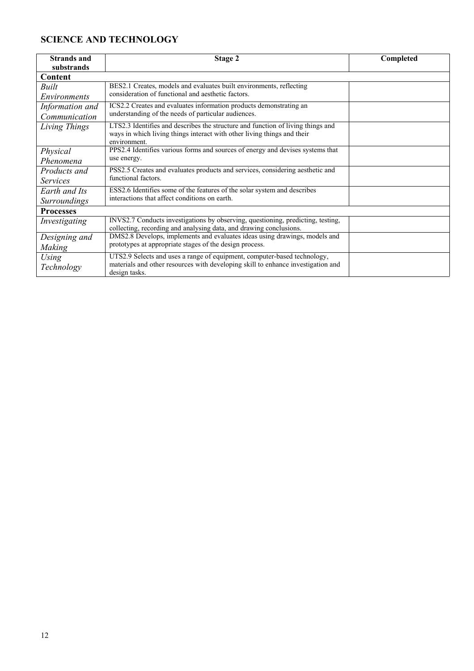## **SCIENCE AND TECHNOLOGY**

| <b>Strands and</b>  | Stage 2                                                                          | Completed |
|---------------------|----------------------------------------------------------------------------------|-----------|
| substrands          |                                                                                  |           |
| Content             |                                                                                  |           |
| Built               | BES2.1 Creates, models and evaluates built environments, reflecting              |           |
| <i>Environments</i> | consideration of functional and aesthetic factors.                               |           |
| Information and     | ICS2.2 Creates and evaluates information products demonstrating an               |           |
| Communication       | understanding of the needs of particular audiences.                              |           |
| Living Things       | LTS2.3 Identifies and describes the structure and function of living things and  |           |
|                     | ways in which living things interact with other living things and their          |           |
|                     | environment.                                                                     |           |
| Physical            | PPS2.4 Identifies various forms and sources of energy and devises systems that   |           |
| Phenomena           | use energy.                                                                      |           |
| Products and        | PSS2.5 Creates and evaluates products and services, considering aesthetic and    |           |
| <i>Services</i>     | functional factors.                                                              |           |
| Earth and Its       | ESS2.6 Identifies some of the features of the solar system and describes         |           |
| <i>Surroundings</i> | interactions that affect conditions on earth.                                    |           |
| <b>Processes</b>    |                                                                                  |           |
| Investigating       | INVS2.7 Conducts investigations by observing, questioning, predicting, testing,  |           |
|                     | collecting, recording and analysing data, and drawing conclusions.               |           |
| Designing and       | DMS2.8 Develops, implements and evaluates ideas using drawings, models and       |           |
| Making              | prototypes at appropriate stages of the design process.                          |           |
| Using               | UTS2.9 Selects and uses a range of equipment, computer-based technology,         |           |
| Technology          | materials and other resources with developing skill to enhance investigation and |           |
|                     | design tasks.                                                                    |           |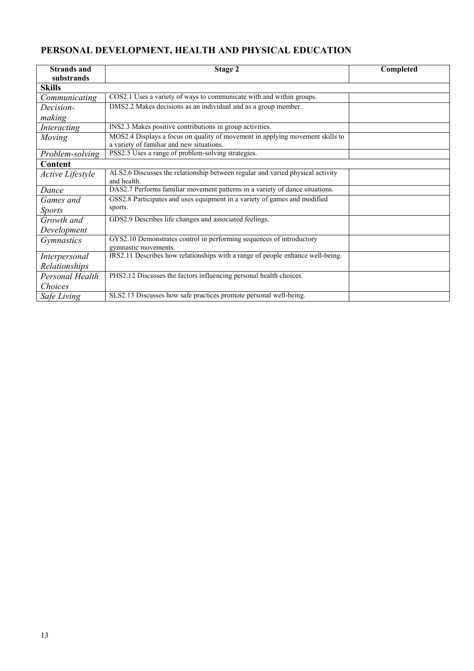## **PERSONAL DEVELOPMENT, HEALTH AND PHYSICAL EDUCATION**

| <b>Strands and</b> | Stage 2                                                                                       | Completed |
|--------------------|-----------------------------------------------------------------------------------------------|-----------|
| substrands         |                                                                                               |           |
| <b>Skills</b>      |                                                                                               |           |
| Communicating      | COS2.1 Uses a variety of ways to communicate with and within groups.                          |           |
| Decision-          | DMS2.2 Makes decisions as an individual and as a group member.                                |           |
| making             |                                                                                               |           |
| Interacting        | INS2.3 Makes positive contributions in group activities.                                      |           |
| Moving             | MOS2.4 Displays a focus on quality of movement in applying movement skills to                 |           |
|                    | a variety of familiar and new situations.                                                     |           |
| Problem-solving    | PSS2.5 Uses a range of problem-solving strategies.                                            |           |
| Content            |                                                                                               |           |
| Active Lifestyle   | ALS2.6 Discusses the relationship between regular and varied physical activity<br>and health. |           |
| Dance              | DAS2.7 Performs familiar movement patterns in a variety of dance situations.                  |           |
| Games and          | GSS2.8 Participates and uses equipment in a variety of games and modified                     |           |
| <i>Sports</i>      | sports.                                                                                       |           |
| Growth and         | GDS2.9 Describes life changes and associated feelings.                                        |           |
| Development        |                                                                                               |           |
| <i>Gymnastics</i>  | GYS2.10 Demonstrates control in performing sequences of introductory                          |           |
|                    | gymnastic movements.                                                                          |           |
| Interpersonal      | IRS2.11 Describes how relationships with a range of people enhance well-being.                |           |
| Relationships      |                                                                                               |           |
| Personal Health    | PHS2.12 Discusses the factors influencing personal health choices.                            |           |
| Choices            |                                                                                               |           |
| Safe Living        | SLS2.13 Discusses how safe practices promote personal well-being.                             |           |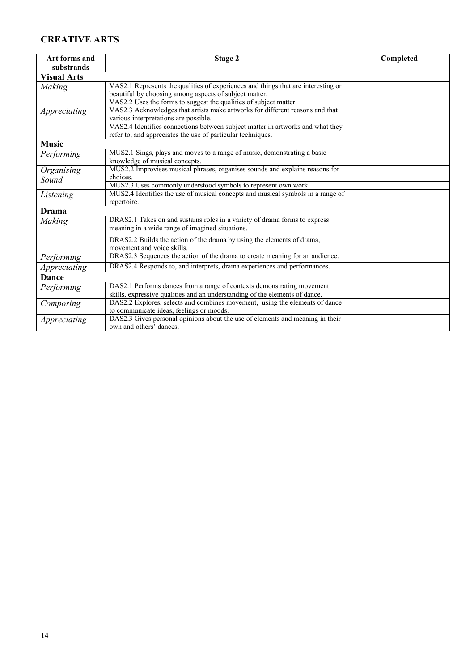### **CREATIVE ARTS**

| Art forms and      | Stage 2                                                                           | Completed |
|--------------------|-----------------------------------------------------------------------------------|-----------|
| substrands         |                                                                                   |           |
| <b>Visual Arts</b> |                                                                                   |           |
| Making             | VAS2.1 Represents the qualities of experiences and things that are interesting or |           |
|                    | beautiful by choosing among aspects of subject matter.                            |           |
|                    | VAS2.2 Uses the forms to suggest the qualities of subject matter.                 |           |
| Appreciating       | VAS2.3 Acknowledges that artists make artworks for different reasons and that     |           |
|                    | various interpretations are possible.                                             |           |
|                    | VAS2.4 Identifies connections between subject matter in artworks and what they    |           |
|                    | refer to, and appreciates the use of particular techniques.                       |           |
| <b>Music</b>       |                                                                                   |           |
| Performing         | MUS2.1 Sings, plays and moves to a range of music, demonstrating a basic          |           |
|                    | knowledge of musical concepts.                                                    |           |
| Organising         | MUS2.2 Improvises musical phrases, organises sounds and explains reasons for      |           |
| Sound              | choices.                                                                          |           |
|                    | MUS2.3 Uses commonly understood symbols to represent own work.                    |           |
| Listening          | MUS2.4 Identifies the use of musical concepts and musical symbols in a range of   |           |
|                    | repertoire.                                                                       |           |
| Drama              |                                                                                   |           |
| Making             | DRAS2.1 Takes on and sustains roles in a variety of drama forms to express        |           |
|                    | meaning in a wide range of imagined situations.                                   |           |
|                    | DRAS2.2 Builds the action of the drama by using the elements of drama,            |           |
|                    | movement and voice skills.                                                        |           |
| Performing         | DRAS2.3 Sequences the action of the drama to create meaning for an audience.      |           |
| Appreciating       | DRAS2.4 Responds to, and interprets, drama experiences and performances.          |           |
| <b>Dance</b>       |                                                                                   |           |
| Performing         | DAS2.1 Performs dances from a range of contexts demonstrating movement            |           |
|                    | skills, expressive qualities and an understanding of the elements of dance.       |           |
| Composing          | DAS2.2 Explores, selects and combines movement, using the elements of dance       |           |
|                    | to communicate ideas, feelings or moods.                                          |           |
| Appreciating       | DAS2.3 Gives personal opinions about the use of elements and meaning in their     |           |
|                    | own and others' dances.                                                           |           |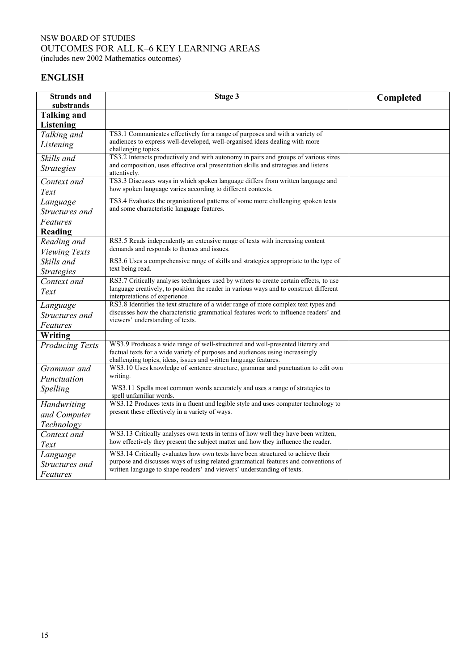#### NSW BOARD OF STUDIES OUTCOMES FOR ALL K–6 KEY LEARNING AREAS (includes new 2002 Mathematics outcomes)

**ENGLISH**

| <b>Strands</b> and<br>substrands       | Stage 3                                                                                                                                                                                                                             | Completed |
|----------------------------------------|-------------------------------------------------------------------------------------------------------------------------------------------------------------------------------------------------------------------------------------|-----------|
| <b>Talking and</b><br><b>Listening</b> |                                                                                                                                                                                                                                     |           |
| Talking and                            | TS3.1 Communicates effectively for a range of purposes and with a variety of                                                                                                                                                        |           |
| Listening                              | audiences to express well-developed, well-organised ideas dealing with more<br>challenging topics.                                                                                                                                  |           |
| Skills and                             | TS3.2 Interacts productively and with autonomy in pairs and groups of various sizes                                                                                                                                                 |           |
| <b>Strategies</b>                      | and composition, uses effective oral presentation skills and strategies and listens<br>attentively.                                                                                                                                 |           |
| Context and                            | TS3.3 Discusses ways in which spoken language differs from written language and                                                                                                                                                     |           |
| Text                                   | how spoken language varies according to different contexts.                                                                                                                                                                         |           |
| Language                               | TS3.4 Evaluates the organisational patterns of some more challenging spoken texts                                                                                                                                                   |           |
| Structures and                         | and some characteristic language features.                                                                                                                                                                                          |           |
| Features                               |                                                                                                                                                                                                                                     |           |
| Reading                                |                                                                                                                                                                                                                                     |           |
| Reading and                            | RS3.5 Reads independently an extensive range of texts with increasing content                                                                                                                                                       |           |
| <b>Viewing Texts</b>                   | demands and responds to themes and issues.                                                                                                                                                                                          |           |
| Skills and                             | RS3.6 Uses a comprehensive range of skills and strategies appropriate to the type of                                                                                                                                                |           |
| <b>Strategies</b>                      | text being read.                                                                                                                                                                                                                    |           |
| Context and                            | RS3.7 Critically analyses techniques used by writers to create certain effects, to use                                                                                                                                              |           |
| Text                                   | language creatively, to position the reader in various ways and to construct different<br>interpretations of experience.                                                                                                            |           |
| Language                               | RS3.8 Identifies the text structure of a wider range of more complex text types and                                                                                                                                                 |           |
| Structures and                         | discusses how the characteristic grammatical features work to influence readers' and<br>viewers' understanding of texts.                                                                                                            |           |
| Features                               |                                                                                                                                                                                                                                     |           |
| <b>Writing</b>                         |                                                                                                                                                                                                                                     |           |
| <b>Producing Texts</b>                 | WS3.9 Produces a wide range of well-structured and well-presented literary and<br>factual texts for a wide variety of purposes and audiences using increasingly<br>challenging topics, ideas, issues and written language features. |           |
| Grammar and                            | WS3.10 Uses knowledge of sentence structure, grammar and punctuation to edit own                                                                                                                                                    |           |
| Punctuation                            | writing.                                                                                                                                                                                                                            |           |
| Spelling                               | WS3.11 Spells most common words accurately and uses a range of strategies to<br>spell unfamiliar words.                                                                                                                             |           |
| Handwriting                            | WS3.12 Produces texts in a fluent and legible style and uses computer technology to                                                                                                                                                 |           |
| and Computer                           | present these effectively in a variety of ways.                                                                                                                                                                                     |           |
| Technology                             |                                                                                                                                                                                                                                     |           |
| Context and                            | WS3.13 Critically analyses own texts in terms of how well they have been written,                                                                                                                                                   |           |
| Text                                   | how effectively they present the subject matter and how they influence the reader.                                                                                                                                                  |           |
| Language                               | WS3.14 Critically evaluates how own texts have been structured to achieve their                                                                                                                                                     |           |
| Structures and                         | purpose and discusses ways of using related grammatical features and conventions of                                                                                                                                                 |           |
| Features                               | written language to shape readers' and viewers' understanding of texts.                                                                                                                                                             |           |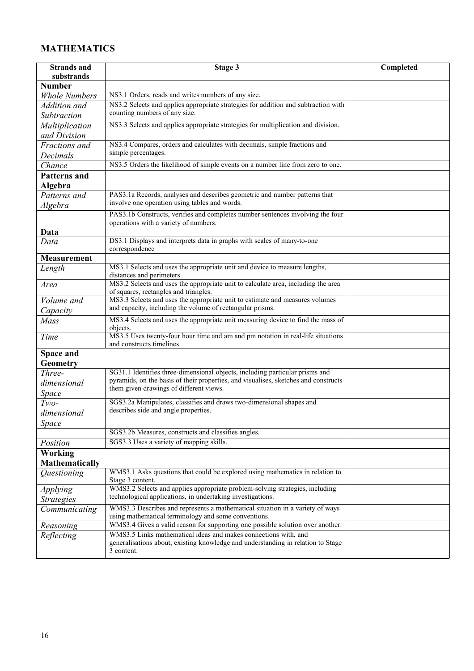## **MATHEMATICS**

| <b>Strands and</b>               | Stage 3                                                                                                                                                             | Completed |
|----------------------------------|---------------------------------------------------------------------------------------------------------------------------------------------------------------------|-----------|
| substrands                       |                                                                                                                                                                     |           |
| <b>Number</b>                    |                                                                                                                                                                     |           |
| <b>Whole Numbers</b>             | NS3.1 Orders, reads and writes numbers of any size.                                                                                                                 |           |
| Addition and                     | NS3.2 Selects and applies appropriate strategies for addition and subtraction with                                                                                  |           |
| Subtraction                      | counting numbers of any size.                                                                                                                                       |           |
| Multiplication                   | NS3.3 Selects and applies appropriate strategies for multiplication and division.                                                                                   |           |
| and Division                     |                                                                                                                                                                     |           |
| Fractions and                    | NS3.4 Compares, orders and calculates with decimals, simple fractions and                                                                                           |           |
| Decimals                         | simple percentages.                                                                                                                                                 |           |
| Chance                           | NS3.5 Orders the likelihood of simple events on a number line from zero to one.                                                                                     |           |
| <b>Patterns and</b>              |                                                                                                                                                                     |           |
| Algebra                          |                                                                                                                                                                     |           |
| Patterns and                     | PAS3.1a Records, analyses and describes geometric and number patterns that                                                                                          |           |
| Algebra                          | involve one operation using tables and words.                                                                                                                       |           |
|                                  | PAS3.1b Constructs, verifies and completes number sentences involving the four                                                                                      |           |
|                                  | operations with a variety of numbers.                                                                                                                               |           |
| Data                             | DS3.1 Displays and interprets data in graphs with scales of many-to-one                                                                                             |           |
| Data                             | correspondence                                                                                                                                                      |           |
| <b>Measurement</b>               |                                                                                                                                                                     |           |
| Length                           | MS3.1 Selects and uses the appropriate unit and device to measure lengths,                                                                                          |           |
|                                  | distances and perimeters.                                                                                                                                           |           |
| Area                             | MS3.2 Selects and uses the appropriate unit to calculate area, including the area                                                                                   |           |
| Volume and                       | of squares, rectangles and triangles.<br>MS3.3 Selects and uses the appropriate unit to estimate and measures volumes                                               |           |
|                                  | and capacity, including the volume of rectangular prisms.                                                                                                           |           |
| Capacity<br>Mass                 | MS3.4 Selects and uses the appropriate unit measuring device to find the mass of                                                                                    |           |
|                                  | objects.                                                                                                                                                            |           |
| Time                             | MS3.5 Uses twenty-four hour time and am and pm notation in real-life situations                                                                                     |           |
|                                  | and constructs timelines.                                                                                                                                           |           |
| <b>Space and</b>                 |                                                                                                                                                                     |           |
| Geometry                         |                                                                                                                                                                     |           |
| Three-                           | SG31.1 Identifies three-dimensional objects, including particular prisms and<br>pyramids, on the basis of their properties, and visualises, sketches and constructs |           |
| dimensional                      | them given drawings of different views.                                                                                                                             |           |
| Space                            |                                                                                                                                                                     |           |
| $Two-$                           | SGS3.2a Manipulates, classifies and draws two-dimensional shapes and<br>describes side and angle properties.                                                        |           |
| dimensional                      |                                                                                                                                                                     |           |
| Space                            |                                                                                                                                                                     |           |
|                                  | SGS3.2b Measures, constructs and classifies angles.                                                                                                                 |           |
| Position                         | SGS3.3 Uses a variety of mapping skills.                                                                                                                            |           |
| Working                          |                                                                                                                                                                     |           |
| <b>Mathematically</b>            |                                                                                                                                                                     |           |
| <i><u><b>Ouestioning</b></u></i> | WMS3.1 Asks questions that could be explored using mathematics in relation to<br>Stage 3 content.                                                                   |           |
| <i>Applying</i>                  | WMS3.2 Selects and applies appropriate problem-solving strategies, including                                                                                        |           |
| <b>Strategies</b>                | technological applications, in undertaking investigations.                                                                                                          |           |
| Communicating                    | WMS3.3 Describes and represents a mathematical situation in a variety of ways                                                                                       |           |
|                                  | using mathematical terminology and some conventions.                                                                                                                |           |
| Reasoning                        | WMS3.4 Gives a valid reason for supporting one possible solution over another.                                                                                      |           |
| Reflecting                       | WMS3.5 Links mathematical ideas and makes connections with, and                                                                                                     |           |
|                                  | generalisations about, existing knowledge and understanding in relation to Stage<br>3 content.                                                                      |           |
|                                  |                                                                                                                                                                     |           |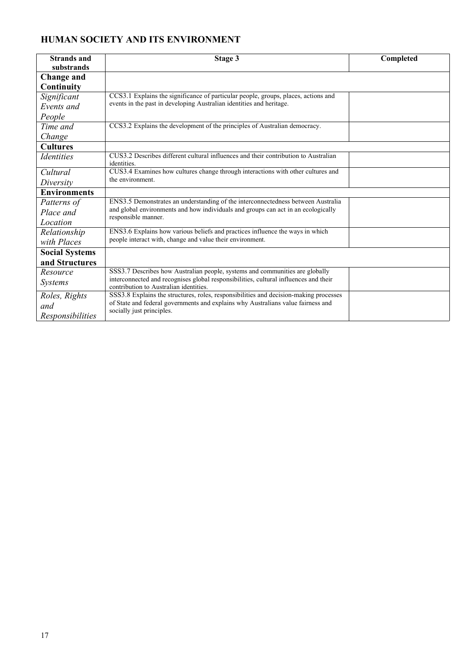## **HUMAN SOCIETY AND ITS ENVIRONMENT**

| <b>Strands and</b><br>substrands | Stage 3                                                                                                                        | Completed |
|----------------------------------|--------------------------------------------------------------------------------------------------------------------------------|-----------|
| <b>Change and</b>                |                                                                                                                                |           |
| Continuity                       |                                                                                                                                |           |
| Significant                      | CCS3.1 Explains the significance of particular people, groups, places, actions and                                             |           |
| Events and                       | events in the past in developing Australian identities and heritage.                                                           |           |
| People                           |                                                                                                                                |           |
| Time and                         | CCS3.2 Explains the development of the principles of Australian democracy.                                                     |           |
| Change                           |                                                                                                                                |           |
| <b>Cultures</b>                  |                                                                                                                                |           |
| <i><u>Identities</u></i>         | CUS3.2 Describes different cultural influences and their contribution to Australian<br>identities.                             |           |
| Cultural                         | CUS3.4 Examines how cultures change through interactions with other cultures and                                               |           |
| Diversity                        | the environment.                                                                                                               |           |
| <b>Environments</b>              |                                                                                                                                |           |
| Patterns of                      | ENS3.5 Demonstrates an understanding of the interconnectedness between Australia                                               |           |
| Place and                        | and global environments and how individuals and groups can act in an ecologically<br>responsible manner.                       |           |
| Location                         |                                                                                                                                |           |
| Relationship                     | ENS3.6 Explains how various beliefs and practices influence the ways in which                                                  |           |
| with Places                      | people interact with, change and value their environment.                                                                      |           |
| <b>Social Systems</b>            |                                                                                                                                |           |
| and Structures                   |                                                                                                                                |           |
| Resource                         | SSS3.7 Describes how Australian people, systems and communities are globally                                                   |           |
| <b>Systems</b>                   | interconnected and recognises global responsibilities, cultural influences and their<br>contribution to Australian identities. |           |
| Roles, Rights                    | SSS3.8 Explains the structures, roles, responsibilities and decision-making processes                                          |           |
| and                              | of State and federal governments and explains why Australians value fairness and<br>socially just principles.                  |           |
| Responsibilities                 |                                                                                                                                |           |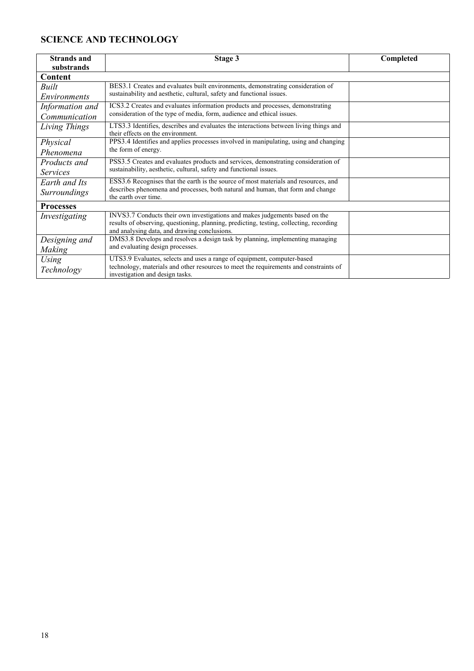## **SCIENCE AND TECHNOLOGY**

| substrands<br>Content<br>BES3.1 Creates and evaluates built environments, demonstrating consideration of<br>Built<br>sustainability and aesthetic, cultural, safety and functional issues.<br><i>Environments</i><br>ICS3.2 Creates and evaluates information products and processes, demonstrating<br>Information and<br>consideration of the type of media, form, audience and ethical issues.<br>Communication<br>LTS3.3 Identifies, describes and evaluates the interactions between living things and<br>Living Things<br>their effects on the environment.<br>PPS3.4 Identifies and applies processes involved in manipulating, using and changing<br>Physical<br>the form of energy.<br>Phenomena<br>PSS3.5 Creates and evaluates products and services, demonstrating consideration of<br>Products and<br>sustainability, aesthetic, cultural, safety and functional issues.<br><i>Services</i><br>ESS3.6 Recognises that the earth is the source of most materials and resources, and<br>Earth and Its<br>describes phenomena and processes, both natural and human, that form and change<br><b>Surroundings</b><br>the earth over time.<br><b>Processes</b><br>INVS3.7 Conducts their own investigations and makes judgements based on the<br>Investigating<br>results of observing, questioning, planning, predicting, testing, collecting, recording<br>and analysing data, and drawing conclusions.<br>DMS3.8 Develops and resolves a design task by planning, implementing managing<br>Designing and<br>and evaluating design processes.<br>Making | <b>Strands and</b> | Stage 3                                                                 | Completed |
|------------------------------------------------------------------------------------------------------------------------------------------------------------------------------------------------------------------------------------------------------------------------------------------------------------------------------------------------------------------------------------------------------------------------------------------------------------------------------------------------------------------------------------------------------------------------------------------------------------------------------------------------------------------------------------------------------------------------------------------------------------------------------------------------------------------------------------------------------------------------------------------------------------------------------------------------------------------------------------------------------------------------------------------------------------------------------------------------------------------------------------------------------------------------------------------------------------------------------------------------------------------------------------------------------------------------------------------------------------------------------------------------------------------------------------------------------------------------------------------------------------------------------------------------------------------|--------------------|-------------------------------------------------------------------------|-----------|
|                                                                                                                                                                                                                                                                                                                                                                                                                                                                                                                                                                                                                                                                                                                                                                                                                                                                                                                                                                                                                                                                                                                                                                                                                                                                                                                                                                                                                                                                                                                                                                  |                    |                                                                         |           |
|                                                                                                                                                                                                                                                                                                                                                                                                                                                                                                                                                                                                                                                                                                                                                                                                                                                                                                                                                                                                                                                                                                                                                                                                                                                                                                                                                                                                                                                                                                                                                                  |                    |                                                                         |           |
|                                                                                                                                                                                                                                                                                                                                                                                                                                                                                                                                                                                                                                                                                                                                                                                                                                                                                                                                                                                                                                                                                                                                                                                                                                                                                                                                                                                                                                                                                                                                                                  |                    |                                                                         |           |
|                                                                                                                                                                                                                                                                                                                                                                                                                                                                                                                                                                                                                                                                                                                                                                                                                                                                                                                                                                                                                                                                                                                                                                                                                                                                                                                                                                                                                                                                                                                                                                  |                    |                                                                         |           |
|                                                                                                                                                                                                                                                                                                                                                                                                                                                                                                                                                                                                                                                                                                                                                                                                                                                                                                                                                                                                                                                                                                                                                                                                                                                                                                                                                                                                                                                                                                                                                                  |                    |                                                                         |           |
|                                                                                                                                                                                                                                                                                                                                                                                                                                                                                                                                                                                                                                                                                                                                                                                                                                                                                                                                                                                                                                                                                                                                                                                                                                                                                                                                                                                                                                                                                                                                                                  |                    |                                                                         |           |
|                                                                                                                                                                                                                                                                                                                                                                                                                                                                                                                                                                                                                                                                                                                                                                                                                                                                                                                                                                                                                                                                                                                                                                                                                                                                                                                                                                                                                                                                                                                                                                  |                    |                                                                         |           |
|                                                                                                                                                                                                                                                                                                                                                                                                                                                                                                                                                                                                                                                                                                                                                                                                                                                                                                                                                                                                                                                                                                                                                                                                                                                                                                                                                                                                                                                                                                                                                                  |                    |                                                                         |           |
|                                                                                                                                                                                                                                                                                                                                                                                                                                                                                                                                                                                                                                                                                                                                                                                                                                                                                                                                                                                                                                                                                                                                                                                                                                                                                                                                                                                                                                                                                                                                                                  |                    |                                                                         |           |
|                                                                                                                                                                                                                                                                                                                                                                                                                                                                                                                                                                                                                                                                                                                                                                                                                                                                                                                                                                                                                                                                                                                                                                                                                                                                                                                                                                                                                                                                                                                                                                  |                    |                                                                         |           |
|                                                                                                                                                                                                                                                                                                                                                                                                                                                                                                                                                                                                                                                                                                                                                                                                                                                                                                                                                                                                                                                                                                                                                                                                                                                                                                                                                                                                                                                                                                                                                                  |                    |                                                                         |           |
|                                                                                                                                                                                                                                                                                                                                                                                                                                                                                                                                                                                                                                                                                                                                                                                                                                                                                                                                                                                                                                                                                                                                                                                                                                                                                                                                                                                                                                                                                                                                                                  |                    |                                                                         |           |
|                                                                                                                                                                                                                                                                                                                                                                                                                                                                                                                                                                                                                                                                                                                                                                                                                                                                                                                                                                                                                                                                                                                                                                                                                                                                                                                                                                                                                                                                                                                                                                  |                    |                                                                         |           |
|                                                                                                                                                                                                                                                                                                                                                                                                                                                                                                                                                                                                                                                                                                                                                                                                                                                                                                                                                                                                                                                                                                                                                                                                                                                                                                                                                                                                                                                                                                                                                                  |                    |                                                                         |           |
|                                                                                                                                                                                                                                                                                                                                                                                                                                                                                                                                                                                                                                                                                                                                                                                                                                                                                                                                                                                                                                                                                                                                                                                                                                                                                                                                                                                                                                                                                                                                                                  |                    |                                                                         |           |
|                                                                                                                                                                                                                                                                                                                                                                                                                                                                                                                                                                                                                                                                                                                                                                                                                                                                                                                                                                                                                                                                                                                                                                                                                                                                                                                                                                                                                                                                                                                                                                  |                    |                                                                         |           |
|                                                                                                                                                                                                                                                                                                                                                                                                                                                                                                                                                                                                                                                                                                                                                                                                                                                                                                                                                                                                                                                                                                                                                                                                                                                                                                                                                                                                                                                                                                                                                                  |                    |                                                                         |           |
|                                                                                                                                                                                                                                                                                                                                                                                                                                                                                                                                                                                                                                                                                                                                                                                                                                                                                                                                                                                                                                                                                                                                                                                                                                                                                                                                                                                                                                                                                                                                                                  |                    |                                                                         |           |
|                                                                                                                                                                                                                                                                                                                                                                                                                                                                                                                                                                                                                                                                                                                                                                                                                                                                                                                                                                                                                                                                                                                                                                                                                                                                                                                                                                                                                                                                                                                                                                  |                    |                                                                         |           |
|                                                                                                                                                                                                                                                                                                                                                                                                                                                                                                                                                                                                                                                                                                                                                                                                                                                                                                                                                                                                                                                                                                                                                                                                                                                                                                                                                                                                                                                                                                                                                                  |                    |                                                                         |           |
|                                                                                                                                                                                                                                                                                                                                                                                                                                                                                                                                                                                                                                                                                                                                                                                                                                                                                                                                                                                                                                                                                                                                                                                                                                                                                                                                                                                                                                                                                                                                                                  | Using              | UTS3.9 Evaluates, selects and uses a range of equipment, computer-based |           |
| technology, materials and other resources to meet the requirements and constraints of<br>Technology<br>investigation and design tasks.                                                                                                                                                                                                                                                                                                                                                                                                                                                                                                                                                                                                                                                                                                                                                                                                                                                                                                                                                                                                                                                                                                                                                                                                                                                                                                                                                                                                                           |                    |                                                                         |           |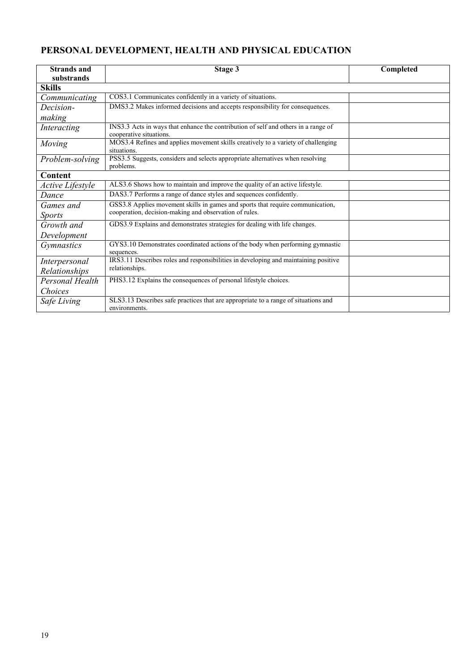## **PERSONAL DEVELOPMENT, HEALTH AND PHYSICAL EDUCATION**

| <b>Strands and</b>      | Stage 3                                                                                                       | Completed |
|-------------------------|---------------------------------------------------------------------------------------------------------------|-----------|
| substrands              |                                                                                                               |           |
| <b>Skills</b>           |                                                                                                               |           |
| Communicating           | COS3.1 Communicates confidently in a variety of situations.                                                   |           |
| Decision-               | DMS3.2 Makes informed decisions and accepts responsibility for consequences.                                  |           |
| making                  |                                                                                                               |           |
| Interacting             | INS3.3 Acts in ways that enhance the contribution of self and others in a range of<br>cooperative situations. |           |
| Moving                  | MOS3.4 Refines and applies movement skills creatively to a variety of challenging<br>situations.              |           |
| Problem-solving         | PSS3.5 Suggests, considers and selects appropriate alternatives when resolving<br>problems.                   |           |
| Content                 |                                                                                                               |           |
| <b>Active Lifestyle</b> | ALS3.6 Shows how to maintain and improve the quality of an active lifestyle.                                  |           |
| Dance                   | DAS3.7 Performs a range of dance styles and sequences confidently.                                            |           |
| Games and               | GSS3.8 Applies movement skills in games and sports that require communication,                                |           |
| <i>Sports</i>           | cooperation, decision-making and observation of rules.                                                        |           |
| Growth and              | GDS3.9 Explains and demonstrates strategies for dealing with life changes.                                    |           |
| Development             |                                                                                                               |           |
| <i>Gymnastics</i>       | GYS3.10 Demonstrates coordinated actions of the body when performing gymnastic<br>sequences.                  |           |
| Interpersonal           | IRS3.11 Describes roles and responsibilities in developing and maintaining positive                           |           |
| Relationships           | relationships.                                                                                                |           |
| Personal Health         | PHS3.12 Explains the consequences of personal lifestyle choices.                                              |           |
| Choices                 |                                                                                                               |           |
| Safe Living             | SLS3.13 Describes safe practices that are appropriate to a range of situations and<br>environments.           |           |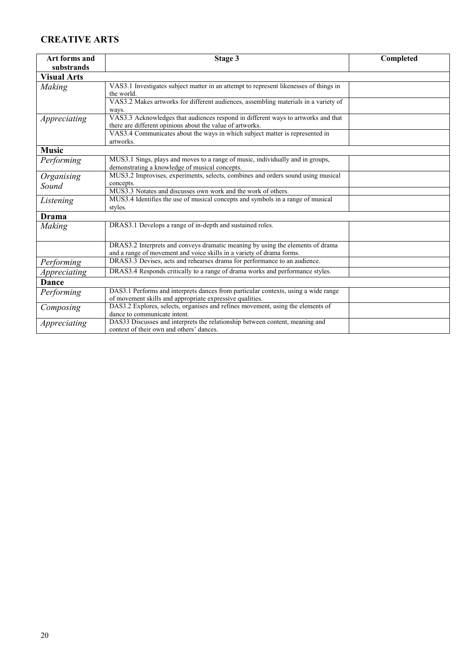### **CREATIVE ARTS**

| Art forms and                                                                                  | Completed<br>Stage 3                                                                  |  |  |  |
|------------------------------------------------------------------------------------------------|---------------------------------------------------------------------------------------|--|--|--|
| substrands                                                                                     |                                                                                       |  |  |  |
| <b>Visual Arts</b>                                                                             |                                                                                       |  |  |  |
| Making                                                                                         | VAS3.1 Investigates subject matter in an attempt to represent likenesses of things in |  |  |  |
|                                                                                                | the world.                                                                            |  |  |  |
|                                                                                                | VAS3.2 Makes artworks for different audiences, assembling materials in a variety of   |  |  |  |
|                                                                                                | ways.                                                                                 |  |  |  |
| Appreciating                                                                                   | VAS3.3 Acknowledges that audiences respond in different ways to artworks and that     |  |  |  |
|                                                                                                | there are different opinions about the value of artworks.                             |  |  |  |
|                                                                                                | VAS3.4 Communicates about the ways in which subject matter is represented in          |  |  |  |
|                                                                                                | artworks.                                                                             |  |  |  |
| <b>Music</b>                                                                                   |                                                                                       |  |  |  |
| Performing                                                                                     | MUS3.1 Sings, plays and moves to a range of music, individually and in groups,        |  |  |  |
|                                                                                                | demonstrating a knowledge of musical concepts.                                        |  |  |  |
| MUS3.2 Improvises, experiments, selects, combines and orders sound using musical<br>Organising |                                                                                       |  |  |  |
| Sound                                                                                          | concepts.<br>MUS3.3 Notates and discusses own work and the work of others.            |  |  |  |
|                                                                                                | MUS3.4 Identifies the use of musical concepts and symbols in a range of musical       |  |  |  |
| Listening<br>styles.                                                                           |                                                                                       |  |  |  |
| Drama                                                                                          |                                                                                       |  |  |  |
|                                                                                                |                                                                                       |  |  |  |
| Making                                                                                         | DRAS3.1 Develops a range of in-depth and sustained roles.                             |  |  |  |
|                                                                                                |                                                                                       |  |  |  |
|                                                                                                | DRAS3.2 Interprets and conveys dramatic meaning by using the elements of drama        |  |  |  |
|                                                                                                | and a range of movement and voice skills in a variety of drama forms.                 |  |  |  |
| Performing                                                                                     | DRAS3.3 Devises, acts and rehearses drama for performance to an audience.             |  |  |  |
| Appreciating                                                                                   | DRAS3.4 Responds critically to a range of drama works and performance styles.         |  |  |  |
| Dance                                                                                          |                                                                                       |  |  |  |
| Performing                                                                                     | DAS3.1 Performs and interprets dances from particular contexts, using a wide range    |  |  |  |
|                                                                                                | of movement skills and appropriate expressive qualities.                              |  |  |  |
| Composing                                                                                      | DAS3.2 Explores, selects, organises and refines movement, using the elements of       |  |  |  |
|                                                                                                | dance to communicate intent.                                                          |  |  |  |
| Appreciating                                                                                   | DAS33 Discusses and interprets the relationship between content, meaning and          |  |  |  |
|                                                                                                | context of their own and others' dances.                                              |  |  |  |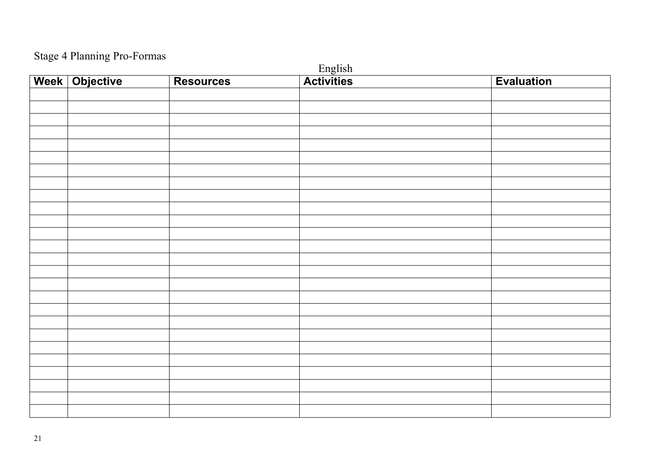## Stage 4 Planning Pro-Formas

| $\overline{\phantom{0}}$<br>$\sim$ |                |                  |                              |                   |
|------------------------------------|----------------|------------------|------------------------------|-------------------|
|                                    | Week Objective | <b>Resources</b> | English<br><b>Activities</b> | <b>Evaluation</b> |
|                                    |                |                  |                              |                   |
|                                    |                |                  |                              |                   |
|                                    |                |                  |                              |                   |
|                                    |                |                  |                              |                   |
|                                    |                |                  |                              |                   |
|                                    |                |                  |                              |                   |
|                                    |                |                  |                              |                   |
|                                    |                |                  |                              |                   |
|                                    |                |                  |                              |                   |
|                                    |                |                  |                              |                   |
|                                    |                |                  |                              |                   |
|                                    |                |                  |                              |                   |
|                                    |                |                  |                              |                   |
|                                    |                |                  |                              |                   |
|                                    |                |                  |                              |                   |
|                                    |                |                  |                              |                   |
|                                    |                |                  |                              |                   |
|                                    |                |                  |                              |                   |
|                                    |                |                  |                              |                   |
|                                    |                |                  |                              |                   |
|                                    |                |                  |                              |                   |
|                                    |                |                  |                              |                   |
|                                    |                |                  |                              |                   |
|                                    |                |                  |                              |                   |
|                                    |                |                  |                              |                   |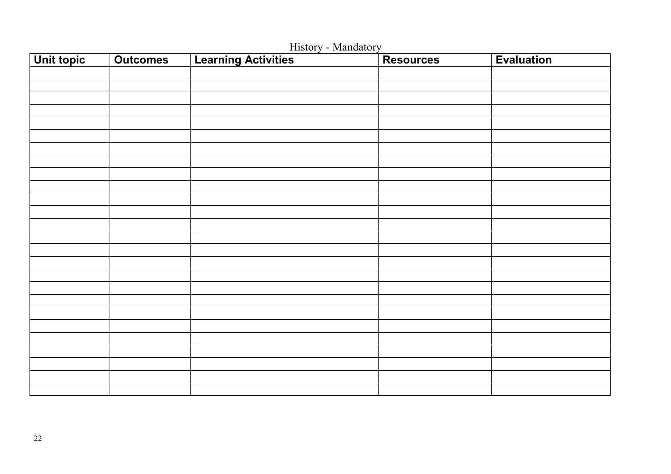| <b>Unit topic</b> | <b>Outcomes</b> | <b>Learning Activities</b> | <b>Resources</b> | <b>Evaluation</b> |
|-------------------|-----------------|----------------------------|------------------|-------------------|
|                   |                 |                            |                  |                   |
|                   |                 |                            |                  |                   |
|                   |                 |                            |                  |                   |
|                   |                 |                            |                  |                   |
|                   |                 |                            |                  |                   |
|                   |                 |                            |                  |                   |
|                   |                 |                            |                  |                   |
|                   |                 |                            |                  |                   |
|                   |                 |                            |                  |                   |
|                   |                 |                            |                  |                   |
|                   |                 |                            |                  |                   |
|                   |                 |                            |                  |                   |
|                   |                 |                            |                  |                   |
|                   |                 |                            |                  |                   |
|                   |                 |                            |                  |                   |
|                   |                 |                            |                  |                   |
|                   |                 |                            |                  |                   |
|                   |                 |                            |                  |                   |
|                   |                 |                            |                  |                   |
|                   |                 |                            |                  |                   |
|                   |                 |                            |                  |                   |
|                   |                 |                            |                  |                   |
|                   |                 |                            |                  |                   |
|                   |                 |                            |                  |                   |
|                   |                 |                            |                  |                   |
|                   |                 |                            |                  |                   |

History - Mandatory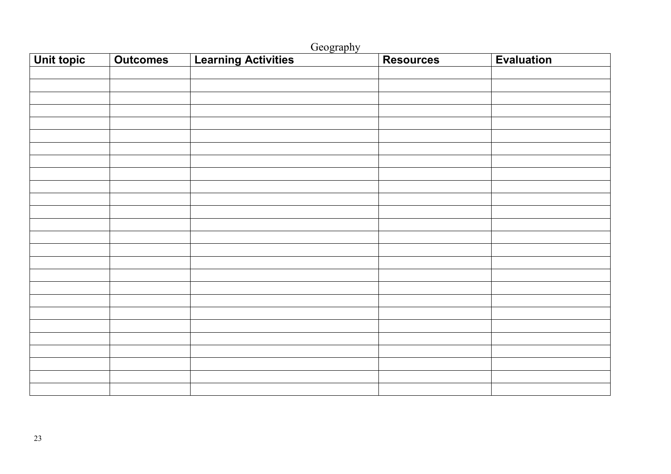| Geography  |                 |                            |                  |                   |
|------------|-----------------|----------------------------|------------------|-------------------|
| Unit topic | <b>Outcomes</b> | <b>Learning Activities</b> | <b>Resources</b> | <b>Evaluation</b> |
|            |                 |                            |                  |                   |
|            |                 |                            |                  |                   |
|            |                 |                            |                  |                   |
|            |                 |                            |                  |                   |
|            |                 |                            |                  |                   |
|            |                 |                            |                  |                   |
|            |                 |                            |                  |                   |
|            |                 |                            |                  |                   |
|            |                 |                            |                  |                   |
|            |                 |                            |                  |                   |
|            |                 |                            |                  |                   |
|            |                 |                            |                  |                   |
|            |                 |                            |                  |                   |
|            |                 |                            |                  |                   |
|            |                 |                            |                  |                   |
|            |                 |                            |                  |                   |
|            |                 |                            |                  |                   |
|            |                 |                            |                  |                   |
|            |                 |                            |                  |                   |
|            |                 |                            |                  |                   |
|            |                 |                            |                  |                   |
|            |                 |                            |                  |                   |
|            |                 |                            |                  |                   |
|            |                 |                            |                  |                   |
|            |                 |                            |                  |                   |
|            |                 |                            |                  |                   |